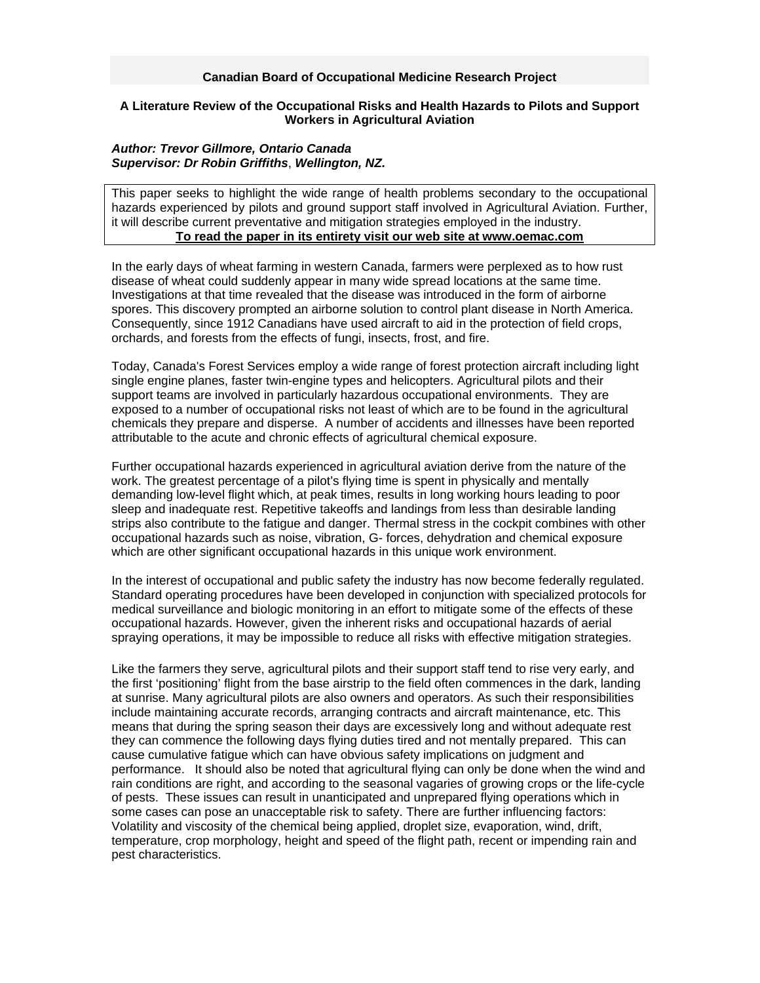## **Canadian Board of Occupational Medicine Research Project**

## **A Literature Review of the Occupational Risks and Health Hazards to Pilots and Support Workers in Agricultural Aviation**

## *Author: Trevor Gillmore, Ontario Canada Supervisor: Dr Robin Griffiths*, *Wellington, NZ.*

This paper seeks to highlight the wide range of health problems secondary to the occupational hazards experienced by pilots and ground support staff involved in Agricultural Aviation. Further, it will describe current preventative and mitigation strategies employed in the industry. **To read the paper in its entirety visit our web site at www.oemac.com**

In the early days of wheat farming in western Canada, farmers were perplexed as to how rust disease of wheat could suddenly appear in many wide spread locations at the same time. Investigations at that time revealed that the disease was introduced in the form of airborne spores. This discovery prompted an airborne solution to control plant disease in North America. Consequently, since 1912 Canadians have used aircraft to aid in the protection of field crops, orchards, and forests from the effects of fungi, insects, frost, and fire.

Today, Canada's Forest Services employ a wide range of forest protection aircraft including light single engine planes, faster twin-engine types and helicopters. Agricultural pilots and their support teams are involved in particularly hazardous occupational environments. They are exposed to a number of occupational risks not least of which are to be found in the agricultural chemicals they prepare and disperse. A number of accidents and illnesses have been reported attributable to the acute and chronic effects of agricultural chemical exposure.

Further occupational hazards experienced in agricultural aviation derive from the nature of the work. The greatest percentage of a pilot's flying time is spent in physically and mentally demanding low-level flight which, at peak times, results in long working hours leading to poor sleep and inadequate rest. Repetitive takeoffs and landings from less than desirable landing strips also contribute to the fatigue and danger. Thermal stress in the cockpit combines with other occupational hazards such as noise, vibration, G- forces, dehydration and chemical exposure which are other significant occupational hazards in this unique work environment.

In the interest of occupational and public safety the industry has now become federally regulated. Standard operating procedures have been developed in conjunction with specialized protocols for medical surveillance and biologic monitoring in an effort to mitigate some of the effects of these occupational hazards. However, given the inherent risks and occupational hazards of aerial spraying operations, it may be impossible to reduce all risks with effective mitigation strategies.

Like the farmers they serve, agricultural pilots and their support staff tend to rise very early, and the first 'positioning' flight from the base airstrip to the field often commences in the dark, landing at sunrise. Many agricultural pilots are also owners and operators. As such their responsibilities include maintaining accurate records, arranging contracts and aircraft maintenance, etc. This means that during the spring season their days are excessively long and without adequate rest they can commence the following days flying duties tired and not mentally prepared. This can cause cumulative fatigue which can have obvious safety implications on judgment and performance. It should also be noted that agricultural flying can only be done when the wind and rain conditions are right, and according to the seasonal vagaries of growing crops or the life-cycle of pests. These issues can result in unanticipated and unprepared flying operations which in some cases can pose an unacceptable risk to safety. There are further influencing factors: Volatility and viscosity of the chemical being applied, droplet size, evaporation, wind, drift, temperature, crop morphology, height and speed of the flight path, recent or impending rain and pest characteristics.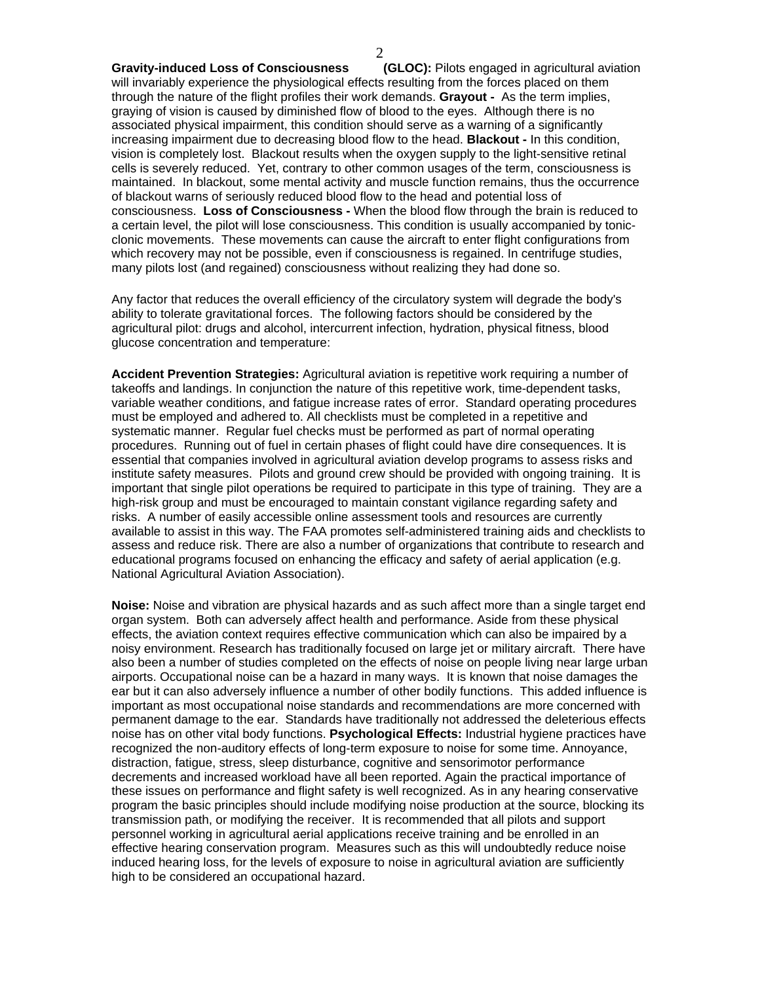**Gravity-induced Loss of Consciousness (GLOC):** Pilots engaged in agricultural aviation will invariably experience the physiological effects resulting from the forces placed on them through the nature of the flight profiles their work demands. **Grayout -** As the term implies, graying of vision is caused by diminished flow of blood to the eyes. Although there is no associated physical impairment, this condition should serve as a warning of a significantly increasing impairment due to decreasing blood flow to the head. **Blackout -** In this condition, vision is completely lost. Blackout results when the oxygen supply to the light-sensitive retinal cells is severely reduced. Yet, contrary to other common usages of the term, consciousness is maintained. In blackout, some mental activity and muscle function remains, thus the occurrence of blackout warns of seriously reduced blood flow to the head and potential loss of consciousness. **Loss of Consciousness -** When the blood flow through the brain is reduced to a certain level, the pilot will lose consciousness. This condition is usually accompanied by tonicclonic movements. These movements can cause the aircraft to enter flight configurations from which recovery may not be possible, even if consciousness is regained. In centrifuge studies, many pilots lost (and regained) consciousness without realizing they had done so.

Any factor that reduces the overall efficiency of the circulatory system will degrade the body's ability to tolerate gravitational forces. The following factors should be considered by the agricultural pilot: drugs and alcohol, intercurrent infection, hydration, physical fitness, blood glucose concentration and temperature:

**Accident Prevention Strategies:** Agricultural aviation is repetitive work requiring a number of takeoffs and landings. In conjunction the nature of this repetitive work, time-dependent tasks, variable weather conditions, and fatigue increase rates of error. Standard operating procedures must be employed and adhered to. All checklists must be completed in a repetitive and systematic manner. Regular fuel checks must be performed as part of normal operating procedures. Running out of fuel in certain phases of flight could have dire consequences. It is essential that companies involved in agricultural aviation develop programs to assess risks and institute safety measures. Pilots and ground crew should be provided with ongoing training. It is important that single pilot operations be required to participate in this type of training. They are a high-risk group and must be encouraged to maintain constant vigilance regarding safety and risks. A number of easily accessible online assessment tools and resources are currently available to assist in this way. The FAA promotes self-administered training aids and checklists to assess and reduce risk. There are also a number of organizations that contribute to research and educational programs focused on enhancing the efficacy and safety of aerial application (e.g. National Agricultural Aviation Association).

**Noise:** Noise and vibration are physical hazards and as such affect more than a single target end organ system. Both can adversely affect health and performance. Aside from these physical effects, the aviation context requires effective communication which can also be impaired by a noisy environment. Research has traditionally focused on large jet or military aircraft. There have also been a number of studies completed on the effects of noise on people living near large urban airports. Occupational noise can be a hazard in many ways. It is known that noise damages the ear but it can also adversely influence a number of other bodily functions. This added influence is important as most occupational noise standards and recommendations are more concerned with permanent damage to the ear. Standards have traditionally not addressed the deleterious effects noise has on other vital body functions. **Psychological Effects:** Industrial hygiene practices have recognized the non-auditory effects of long-term exposure to noise for some time. Annoyance, distraction, fatigue, stress, sleep disturbance, cognitive and sensorimotor performance decrements and increased workload have all been reported. Again the practical importance of these issues on performance and flight safety is well recognized. As in any hearing conservative program the basic principles should include modifying noise production at the source, blocking its transmission path, or modifying the receiver. It is recommended that all pilots and support personnel working in agricultural aerial applications receive training and be enrolled in an effective hearing conservation program. Measures such as this will undoubtedly reduce noise induced hearing loss, for the levels of exposure to noise in agricultural aviation are sufficiently high to be considered an occupational hazard.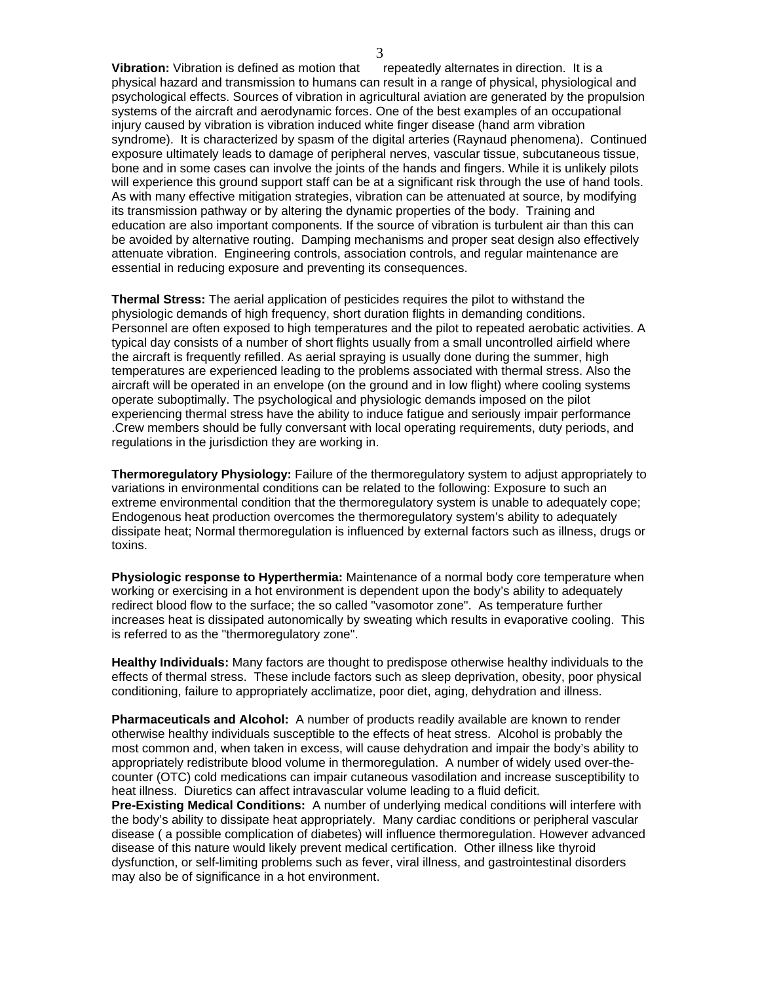**Vibration:** Vibration is defined as motion that repeatedly alternates in direction. It is a physical hazard and transmission to humans can result in a range of physical, physiological and psychological effects. Sources of vibration in agricultural aviation are generated by the propulsion systems of the aircraft and aerodynamic forces. One of the best examples of an occupational injury caused by vibration is vibration induced white finger disease (hand arm vibration syndrome). It is characterized by spasm of the digital arteries (Raynaud phenomena). Continued exposure ultimately leads to damage of peripheral nerves, vascular tissue, subcutaneous tissue, bone and in some cases can involve the joints of the hands and fingers. While it is unlikely pilots will experience this ground support staff can be at a significant risk through the use of hand tools. As with many effective mitigation strategies, vibration can be attenuated at source, by modifying its transmission pathway or by altering the dynamic properties of the body. Training and education are also important components. If the source of vibration is turbulent air than this can be avoided by alternative routing. Damping mechanisms and proper seat design also effectively attenuate vibration. Engineering controls, association controls, and regular maintenance are essential in reducing exposure and preventing its consequences.

**Thermal Stress:** The aerial application of pesticides requires the pilot to withstand the physiologic demands of high frequency, short duration flights in demanding conditions. Personnel are often exposed to high temperatures and the pilot to repeated aerobatic activities. A typical day consists of a number of short flights usually from a small uncontrolled airfield where the aircraft is frequently refilled. As aerial spraying is usually done during the summer, high temperatures are experienced leading to the problems associated with thermal stress. Also the aircraft will be operated in an envelope (on the ground and in low flight) where cooling systems operate suboptimally. The psychological and physiologic demands imposed on the pilot experiencing thermal stress have the ability to induce fatigue and seriously impair performance .Crew members should be fully conversant with local operating requirements, duty periods, and regulations in the jurisdiction they are working in.

**Thermoregulatory Physiology:** Failure of the thermoregulatory system to adjust appropriately to variations in environmental conditions can be related to the following: Exposure to such an extreme environmental condition that the thermoregulatory system is unable to adequately cope; Endogenous heat production overcomes the thermoregulatory system's ability to adequately dissipate heat; Normal thermoregulation is influenced by external factors such as illness, drugs or toxins.

**Physiologic response to Hyperthermia:** Maintenance of a normal body core temperature when working or exercising in a hot environment is dependent upon the body's ability to adequately redirect blood flow to the surface; the so called "vasomotor zone". As temperature further increases heat is dissipated autonomically by sweating which results in evaporative cooling. This is referred to as the "thermoregulatory zone".

**Healthy Individuals:** Many factors are thought to predispose otherwise healthy individuals to the effects of thermal stress. These include factors such as sleep deprivation, obesity, poor physical conditioning, failure to appropriately acclimatize, poor diet, aging, dehydration and illness.

**Pharmaceuticals and Alcohol:** A number of products readily available are known to render otherwise healthy individuals susceptible to the effects of heat stress. Alcohol is probably the most common and, when taken in excess, will cause dehydration and impair the body's ability to appropriately redistribute blood volume in thermoregulation. A number of widely used over-thecounter (OTC) cold medications can impair cutaneous vasodilation and increase susceptibility to heat illness. Diuretics can affect intravascular volume leading to a fluid deficit.

**Pre-Existing Medical Conditions:** A number of underlying medical conditions will interfere with the body's ability to dissipate heat appropriately. Many cardiac conditions or peripheral vascular disease ( a possible complication of diabetes) will influence thermoregulation. However advanced disease of this nature would likely prevent medical certification. Other illness like thyroid dysfunction, or self-limiting problems such as fever, viral illness, and gastrointestinal disorders may also be of significance in a hot environment.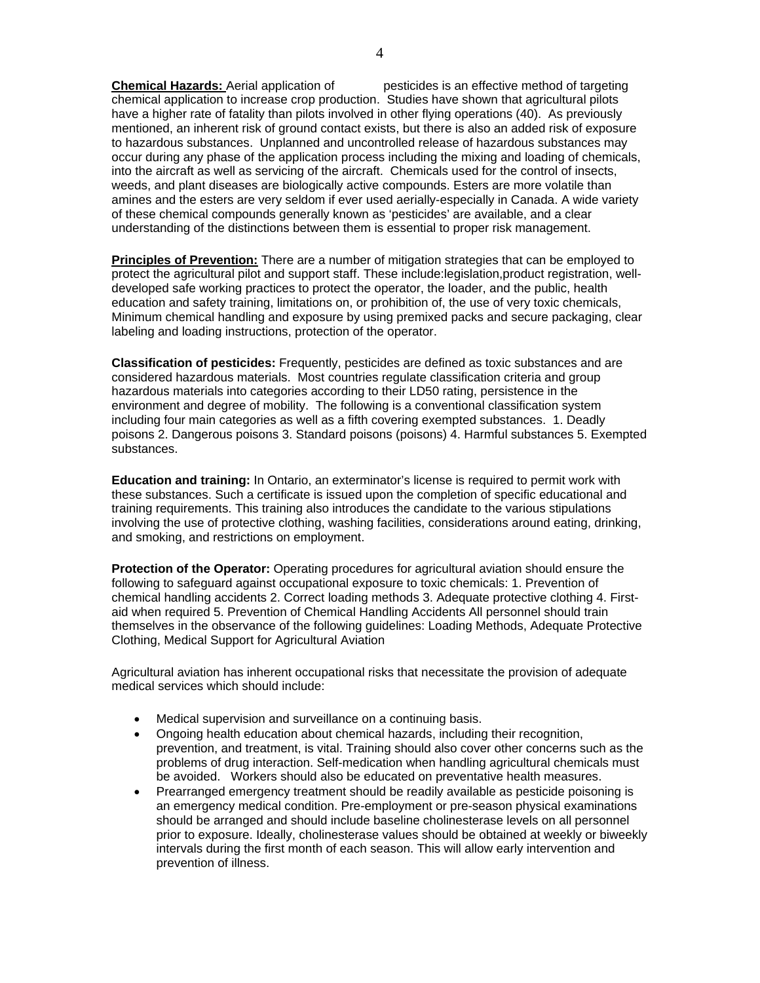**Chemical Hazards:** Aerial application of pesticides is an effective method of targeting chemical application to increase crop production. Studies have shown that agricultural pilots have a higher rate of fatality than pilots involved in other flying operations (40). As previously mentioned, an inherent risk of ground contact exists, but there is also an added risk of exposure to hazardous substances. Unplanned and uncontrolled release of hazardous substances may occur during any phase of the application process including the mixing and loading of chemicals, into the aircraft as well as servicing of the aircraft. Chemicals used for the control of insects, weeds, and plant diseases are biologically active compounds. Esters are more volatile than amines and the esters are very seldom if ever used aerially-especially in Canada. A wide variety of these chemical compounds generally known as 'pesticides' are available, and a clear understanding of the distinctions between them is essential to proper risk management.

**Principles of Prevention:** There are a number of mitigation strategies that can be employed to protect the agricultural pilot and support staff. These include:legislation,product registration, welldeveloped safe working practices to protect the operator, the loader, and the public, health education and safety training, limitations on, or prohibition of, the use of very toxic chemicals, Minimum chemical handling and exposure by using premixed packs and secure packaging, clear labeling and loading instructions, protection of the operator.

**Classification of pesticides:** Frequently, pesticides are defined as toxic substances and are considered hazardous materials. Most countries regulate classification criteria and group hazardous materials into categories according to their LD50 rating, persistence in the environment and degree of mobility. The following is a conventional classification system including four main categories as well as a fifth covering exempted substances. 1. Deadly poisons 2. Dangerous poisons 3. Standard poisons (poisons) 4. Harmful substances 5. Exempted substances.

**Education and training:** In Ontario, an exterminator's license is required to permit work with these substances. Such a certificate is issued upon the completion of specific educational and training requirements. This training also introduces the candidate to the various stipulations involving the use of protective clothing, washing facilities, considerations around eating, drinking, and smoking, and restrictions on employment.

**Protection of the Operator:** Operating procedures for agricultural aviation should ensure the following to safeguard against occupational exposure to toxic chemicals: 1. Prevention of chemical handling accidents 2. Correct loading methods 3. Adequate protective clothing 4. Firstaid when required 5. Prevention of Chemical Handling Accidents All personnel should train themselves in the observance of the following guidelines: Loading Methods, Adequate Protective Clothing, Medical Support for Agricultural Aviation

Agricultural aviation has inherent occupational risks that necessitate the provision of adequate medical services which should include:

- Medical supervision and surveillance on a continuing basis.
- Ongoing health education about chemical hazards, including their recognition, prevention, and treatment, is vital. Training should also cover other concerns such as the problems of drug interaction. Self-medication when handling agricultural chemicals must be avoided. Workers should also be educated on preventative health measures.
- Prearranged emergency treatment should be readily available as pesticide poisoning is an emergency medical condition. Pre-employment or pre-season physical examinations should be arranged and should include baseline cholinesterase levels on all personnel prior to exposure. Ideally, cholinesterase values should be obtained at weekly or biweekly intervals during the first month of each season. This will allow early intervention and prevention of illness.